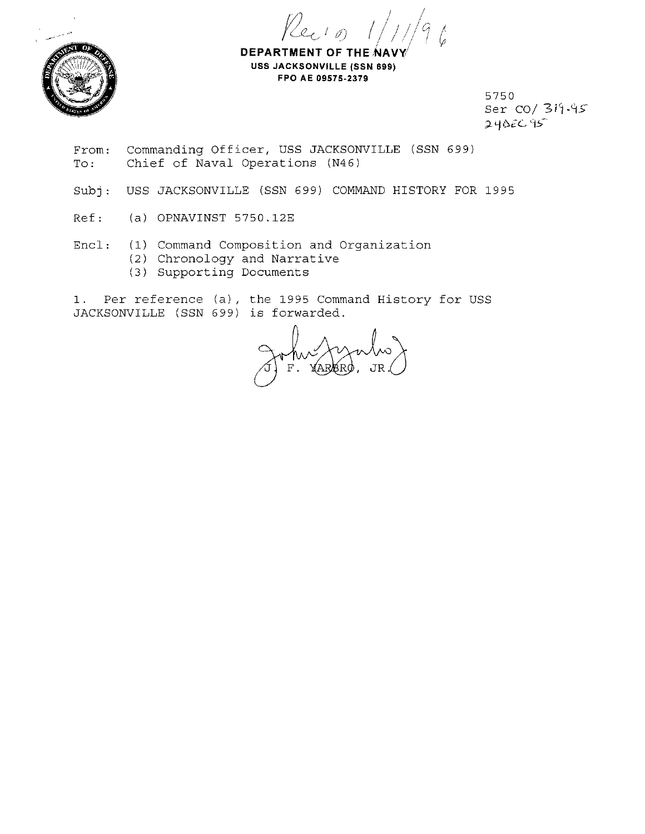



**DEPARTMENT OF THE NA USS JACKSONVILLE (SSN 699) FPO AE 09575-2379** 

> 5750 Ser CO/ *3i'i-'1>*   $24$   $26$   $95$

- From: To: Commanding Officer, USS JACKSONVILLE (SSN 699) Chief of Naval Operations (N46)
- Subj: USS JACKSONVILLE (SSN 699) COMMAND HISTORY FOR 1995
- Ref: (a) OPNAVINST 5750.12E
- Encl: (1) Command Composition and Organization (2) Chronology and Narrative (3) Supporting Documents

1. Per reference (a), the 1995 Command History for USS JACKSONVILLE (SSN 699) is forwarded.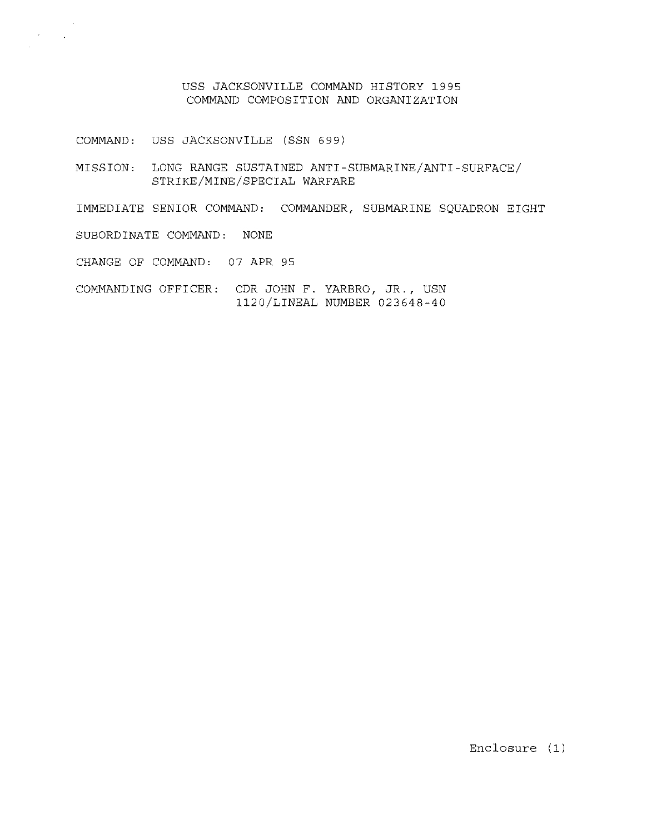USS JACKSONVILLE COMMAND HISTORY 1995 COMMAND COMPOSITION AND ORGANIZATION

COMMAND: USS JACKSONVILLE (SSN 699)

MISSION: LONG RANGE SUSTAINED ANTI-SUBMARINE/ANTI-SURFACE/ STRIKE/MINE/SPECIAL WARFARE

IMMEDIATE SENIOR COMMAND: COMMANDER, SUBMARINE SQUADRON EIGHT

SUBORDINATE COMMAND: NONE

 $\lambda_{\rm{max}}$  and

CHANGE OF COMMAND: 07 APR 95

COMMANDING OFFICER: CDR JOHN F. YARBRO, JR., USN 1120/LINEAL NUMBER 023648-40

Enclosure (1)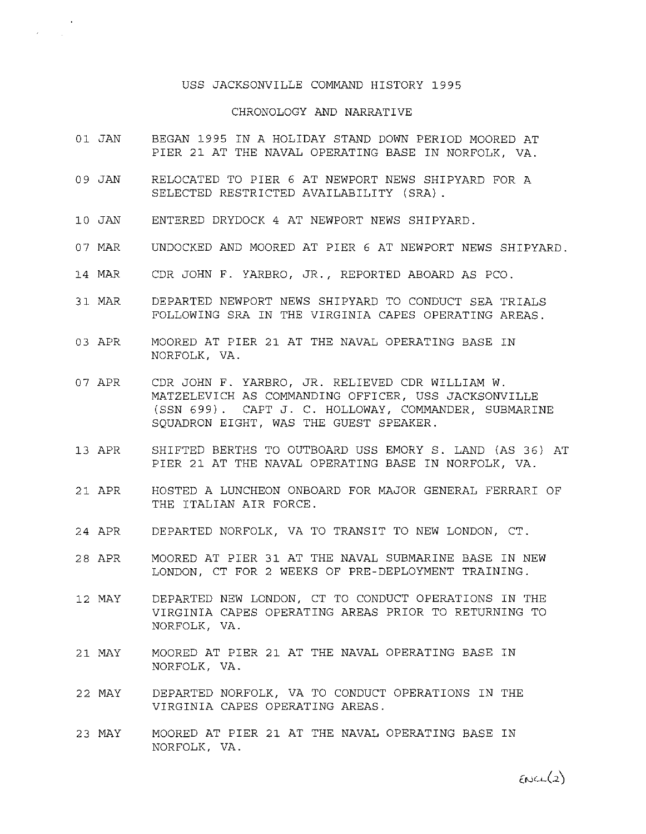## USS JACKSONVILLE COMMAND HISTORY 1995

## CHRONOLOGY AND NARRATIVE

- 01 JAN BEGAN 1995 IN A HOLIDAY STAND DOWN PERIOD MOORED AT PIER 21 AT THE NAVAL OPERATING BASE IN NORFOLK, VA.
- 09 JAN RELOCATED TO PIER *6* AT NEWPORT NEWS SHIPYARD FOR A SELECTED RESTRICTED AVAILABILITY (SRA) .
- 10 JAN ENTERED DRYDOCK 4 AT NEWPORT NEWS SHIPYARD.
- 07 MAR UNDOCKED AND MOORED AT PIER *6* AT NEWPORT NEWS SHIPYARD.
- 14 MAR CDR JOHN F. YARBRO, JR., REPORTED ABOARD AS PCO.
- 31 MAR DEPARTED NEWPORT NEWS SHIPYARD TO CONDUCT SEA TRIALS FOLLOWING SRA IN THE VIRGINIA CAPES OPERATING AREAS.
- 03 APR MOORED AT PIER 21 AT THE NAVAL OPERATING BASE IN NORFOLK, VA.
- 07 APR CDR JOHN F. YARBRO, JR. RELIEVED CDR WILLIAM W. MATZELEVICH AS COMMANDING OFFICER, USS JACKSONVILLE (SSN 699). CAPT J. C. HOLLOWAY, COMMANDER, SUBMARINE SQUADRON EIGHT, WAS THE GUEST SPEAKER.
- 13 APR SHIFTED BERTHS TO OUTBOARD USS EMORY S. LAND (AS 36) AT PIER 21 AT THE NAVAL OPERATING BASE IN NORFOLK, VA.
- 21 APR HOSTED A LUNCHEON ONBOARD FOR MAJOR GENERAL FERRARI OF THE ITALIAN AIR FORCE.
- 24 APR DEPARTED NORFOLK, VA TO TRANSIT TO NEW LONDON, CT.
- 28 APR MOORED AT PIER 31 AT THE NAVAL SUBMARINE BASE IN NEW LONDON, CT FOR 2 WEEKS OF PRE-DEPLOYMENT TRAINING.
- 12 MAY DEPARTED NEW LONDON, CT TO CONDUCT OPERATIONS IN THE VIRGINIA CAPES OPERATING AREAS PRIOR TO RETURNING TO NORFOLK, VA.
- 21 MAY MOORED AT PIER 21 AT THE NAVAL OPERATING BASE IN NORFOLK, VA.
- 22 MAY DEPARTED NORFOLK, VA TO CONDUCT OPERATIONS IN THE VIRGINIA CAPES OPERATING AREAS.
- 23 MAY MOORED AT PIER 21 AT THE NAVAL OPERATING BASE IN NORFOLK, VA.

 $m(2)$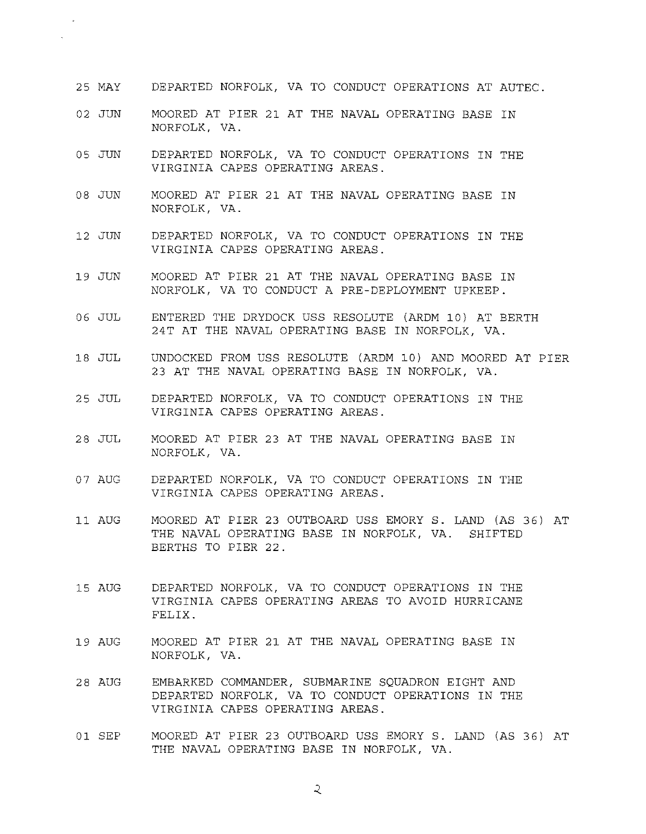- 25 MAY DEPARTED NORFOLK, VA TO CONDUCT OPERATIONS AT AUTEC.
- 02 JUN MOORED AT PIER 21 AT THE NAVAL OPERATING BASE IN NORFOLK, VA.

 $\mathbf{r}$ 

- 05 JUN DEPARTED NORFOLK, VA TO CONDUCT OPERATIONS IN THE VIRGINIA CAPES OPERATING AREAS.
- 08 JUN MOORED AT PIER 21 AT THE NAVAL OPERATING BASE IN NORFOLK, VA.
- 12 JUN DEPARTED NORFOLK, VA TO CONDUCT OPERATIONS IN THE VIRGINIA CAPES OPERATING AREAS.
- 19 JUN MOORED AT PIER 21 AT THE NAVAL OPERATING BASE IN NORFOLK, VA TO CONDUCT A PRE-DEPLOYMENT UPKEEP.
- 06 JUL ENTERED THE DRYDOCK USS RESOLUTE (ARDM 10) AT BERTH 24T AT THE NAVAL OPERATING BASE IN NORFOLK, VA.
- 18 JUL UNDOCKED FROM USS RESOLUTE (ARDM 10) AND MOORED AT PIER 23 AT THE NAVAL OPERATING BASE IN NORFOLK, VA.
- 25 JUL DEPARTED NORFOLK, VA TO CONDUCT OPERATIONS IN THE VIRGINIA CAPES OPERATING AREAS.
- 28 JUL MOORED AT PIER 23 AT THE NAVAL OPERATING BASE IN NORFOLK, VA.
- 07 AUG DEPARTED NORFOLK, VA TO CONDUCT OPERATIONS IN THE VIRGINIA CAPES OPERATING AREAS.
- 11 AUG MOORED AT PIER 23 OUTBOARD USS EMORY S. LAND (AS 36) AT THE NAVAL OPERATING BASE IN NORFOLK, VA. SHIFTED BERTHS TO PIER 22.
- 15 AUG DEPARTED NORFOLK, VA TO CONDUCT OPERATIONS IN THE VIRGINIA CAPES OPERATING AREAS TO AVOID HURRICANE FELIX.
- 19 AUG MOORED AT PIER 21 AT THE NAVAL OPERATING BASE IN NORFOLK, VA.
- 28 AUG EMBARKED COMMANDER, SUBMARINE SQUADRON EIGHT AND DEPARTED NORFOLK, VA TO CONDUCT OPERATIONS IN THE VIRGINIA CAPES OPERATING AREAS.
- 01 SEP MOORED AT PIER 23 OUTBOARD USS EMORY S. LAND (AS 36) AT THE NAVAL OPERATING BASE IN NORFOLK, VA.